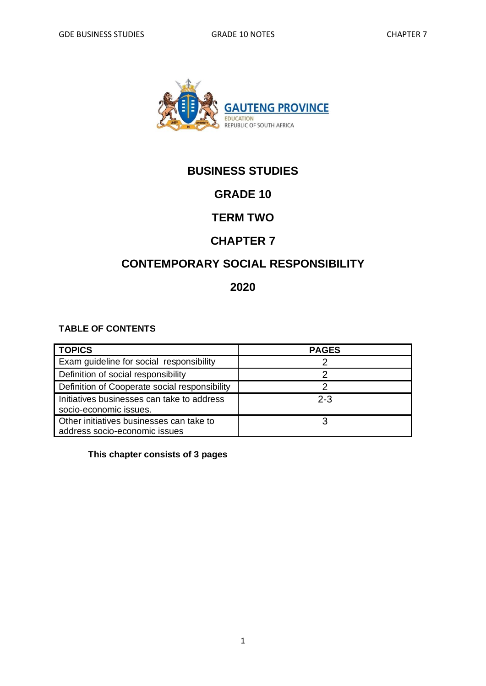

# **BUSINESS STUDIES**

# **GRADE 10**

## **TERM TWO**

## **CHAPTER 7**

# **CONTEMPORARY SOCIAL RESPONSIBILITY**

### **2020**

### **TABLE OF CONTENTS**

| <b>TOPICS</b>                                                             | <b>PAGES</b> |
|---------------------------------------------------------------------------|--------------|
| Exam guideline for social responsibility                                  |              |
| Definition of social responsibility                                       |              |
| Definition of Cooperate social responsibility                             |              |
| Initiatives businesses can take to address<br>socio-economic issues.      | $2 - 3$      |
| Other initiatives businesses can take to<br>address socio-economic issues |              |

### **This chapter consists of 3 pages**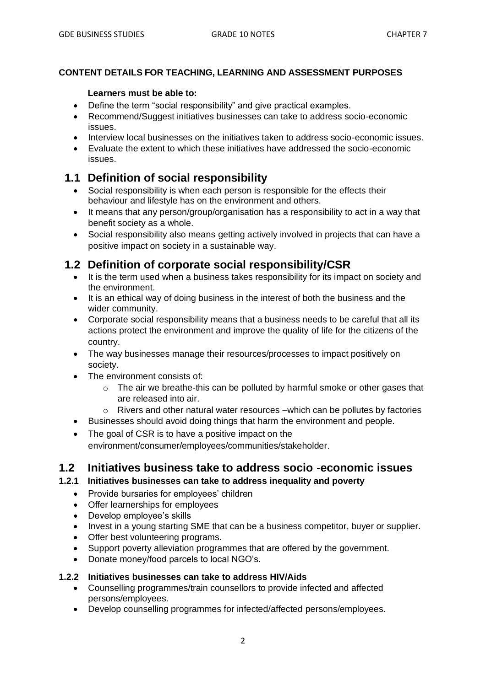### **CONTENT DETAILS FOR TEACHING, LEARNING AND ASSESSMENT PURPOSES**

#### **Learners must be able to:**

- Define the term "social responsibility" and give practical examples.
- Recommend/Suggest initiatives businesses can take to address socio-economic issues.
- Interview local businesses on the initiatives taken to address socio-economic issues.
- Evaluate the extent to which these initiatives have addressed the socio-economic issues.

### **1.1 Definition of social responsibility**

- Social responsibility is when each person is responsible for the effects their behaviour and lifestyle has on the environment and others.
- It means that any person/group/organisation has a responsibility to act in a way that benefit society as a whole.
- Social responsibility also means getting actively involved in projects that can have a positive impact on society in a sustainable way.

## **1.2 Definition of corporate social responsibility/CSR**

- It is the term used when a business takes responsibility for its impact on society and the environment.
- It is an ethical way of doing business in the interest of both the business and the wider community.
- Corporate social responsibility means that a business needs to be careful that all its actions protect the environment and improve the quality of life for the citizens of the country.
- The way businesses manage their resources/processes to impact positively on society.
- The environment consists of:
	- o The air we breathe-this can be polluted by harmful smoke or other gases that are released into air.
	- o Rivers and other natural water resources –which can be pollutes by factories
- Businesses should avoid doing things that harm the environment and people.
- The goal of CSR is to have a positive impact on the environment/consumer/employees/communities/stakeholder.

### **1.2 Initiatives business take to address socio -economic issues**

### **1.2.1 Initiatives businesses can take to address inequality and poverty**

- Provide bursaries for employees' children
- Offer learnerships for employees
- Develop employee's skills
- Invest in a young starting SME that can be a business competitor, buyer or supplier.
- Offer best volunteering programs.
- Support poverty alleviation programmes that are offered by the government.
- Donate money/food parcels to local NGO's.

#### **1.2.2 Initiatives businesses can take to address HIV/Aids**

- Counselling programmes/train counsellors to provide infected and affected persons/employees.
- Develop counselling programmes for infected/affected persons/employees.